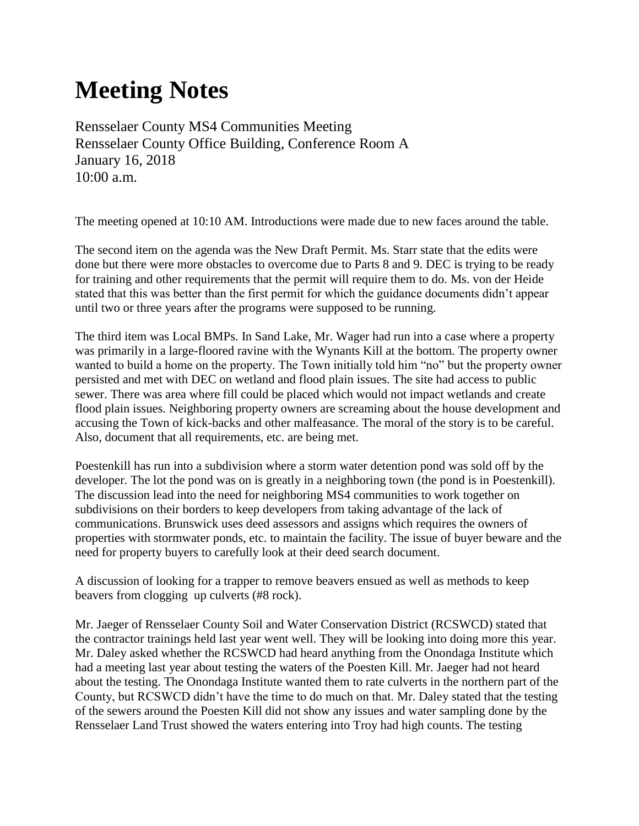## **Meeting Notes**

Rensselaer County MS4 Communities Meeting Rensselaer County Office Building, Conference Room A January 16, 2018 10:00 a.m.

The meeting opened at 10:10 AM. Introductions were made due to new faces around the table.

The second item on the agenda was the New Draft Permit. Ms. Starr state that the edits were done but there were more obstacles to overcome due to Parts 8 and 9. DEC is trying to be ready for training and other requirements that the permit will require them to do. Ms. von der Heide stated that this was better than the first permit for which the guidance documents didn't appear until two or three years after the programs were supposed to be running.

The third item was Local BMPs. In Sand Lake, Mr. Wager had run into a case where a property was primarily in a large-floored ravine with the Wynants Kill at the bottom. The property owner wanted to build a home on the property. The Town initially told him "no" but the property owner persisted and met with DEC on wetland and flood plain issues. The site had access to public sewer. There was area where fill could be placed which would not impact wetlands and create flood plain issues. Neighboring property owners are screaming about the house development and accusing the Town of kick-backs and other malfeasance. The moral of the story is to be careful. Also, document that all requirements, etc. are being met.

Poestenkill has run into a subdivision where a storm water detention pond was sold off by the developer. The lot the pond was on is greatly in a neighboring town (the pond is in Poestenkill). The discussion lead into the need for neighboring MS4 communities to work together on subdivisions on their borders to keep developers from taking advantage of the lack of communications. Brunswick uses deed assessors and assigns which requires the owners of properties with stormwater ponds, etc. to maintain the facility. The issue of buyer beware and the need for property buyers to carefully look at their deed search document.

A discussion of looking for a trapper to remove beavers ensued as well as methods to keep beavers from clogging up culverts (#8 rock).

Mr. Jaeger of Rensselaer County Soil and Water Conservation District (RCSWCD) stated that the contractor trainings held last year went well. They will be looking into doing more this year. Mr. Daley asked whether the RCSWCD had heard anything from the Onondaga Institute which had a meeting last year about testing the waters of the Poesten Kill. Mr. Jaeger had not heard about the testing. The Onondaga Institute wanted them to rate culverts in the northern part of the County, but RCSWCD didn't have the time to do much on that. Mr. Daley stated that the testing of the sewers around the Poesten Kill did not show any issues and water sampling done by the Rensselaer Land Trust showed the waters entering into Troy had high counts. The testing